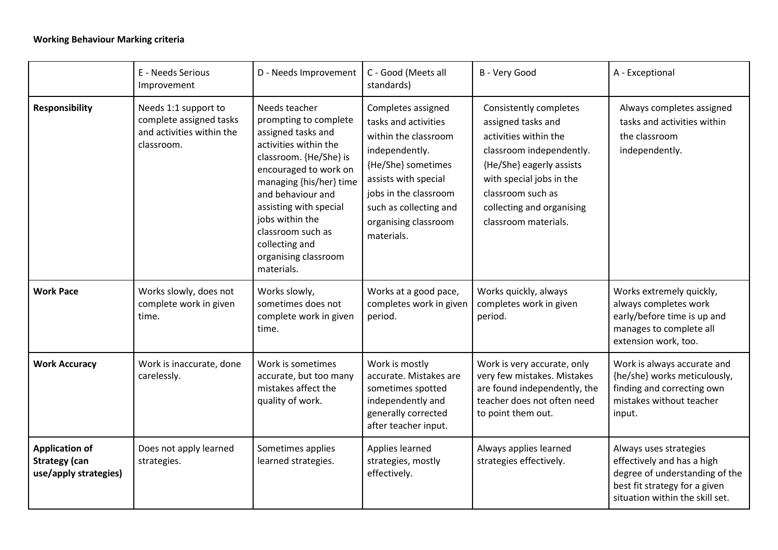## **Working Behaviour Marking criteria**

|                                                                        | E - Needs Serious<br>Improvement                                                           | D - Needs Improvement                                                                                                                                                                                                                                                                                              | C - Good (Meets all<br>standards)                                                                                                                                                                                           | B - Very Good                                                                                                                                                                                                                       | A - Exceptional                                                                                                                                            |
|------------------------------------------------------------------------|--------------------------------------------------------------------------------------------|--------------------------------------------------------------------------------------------------------------------------------------------------------------------------------------------------------------------------------------------------------------------------------------------------------------------|-----------------------------------------------------------------------------------------------------------------------------------------------------------------------------------------------------------------------------|-------------------------------------------------------------------------------------------------------------------------------------------------------------------------------------------------------------------------------------|------------------------------------------------------------------------------------------------------------------------------------------------------------|
| <b>Responsibility</b>                                                  | Needs 1:1 support to<br>complete assigned tasks<br>and activities within the<br>classroom. | Needs teacher<br>prompting to complete<br>assigned tasks and<br>activities within the<br>classroom. {He/She} is<br>encouraged to work on<br>managing {his/her} time<br>and behaviour and<br>assisting with special<br>jobs within the<br>classroom such as<br>collecting and<br>organising classroom<br>materials. | Completes assigned<br>tasks and activities<br>within the classroom<br>independently.<br>{He/She} sometimes<br>assists with special<br>jobs in the classroom<br>such as collecting and<br>organising classroom<br>materials. | Consistently completes<br>assigned tasks and<br>activities within the<br>classroom independently.<br>{He/She} eagerly assists<br>with special jobs in the<br>classroom such as<br>collecting and organising<br>classroom materials. | Always completes assigned<br>tasks and activities within<br>the classroom<br>independently.                                                                |
| <b>Work Pace</b>                                                       | Works slowly, does not<br>complete work in given<br>time.                                  | Works slowly,<br>sometimes does not<br>complete work in given<br>time.                                                                                                                                                                                                                                             | Works at a good pace,<br>completes work in given<br>period.                                                                                                                                                                 | Works quickly, always<br>completes work in given<br>period.                                                                                                                                                                         | Works extremely quickly,<br>always completes work<br>early/before time is up and<br>manages to complete all<br>extension work, too.                        |
| <b>Work Accuracy</b>                                                   | Work is inaccurate, done<br>carelessly.                                                    | Work is sometimes<br>accurate, but too many<br>mistakes affect the<br>quality of work.                                                                                                                                                                                                                             | Work is mostly<br>accurate. Mistakes are<br>sometimes spotted<br>independently and<br>generally corrected<br>after teacher input.                                                                                           | Work is very accurate, only<br>very few mistakes. Mistakes<br>are found independently, the<br>teacher does not often need<br>to point them out.                                                                                     | Work is always accurate and<br>{he/she} works meticulously,<br>finding and correcting own<br>mistakes without teacher<br>input.                            |
| <b>Application of</b><br><b>Strategy (can</b><br>use/apply strategies) | Does not apply learned<br>strategies.                                                      | Sometimes applies<br>learned strategies.                                                                                                                                                                                                                                                                           | Applies learned<br>strategies, mostly<br>effectively.                                                                                                                                                                       | Always applies learned<br>strategies effectively.                                                                                                                                                                                   | Always uses strategies<br>effectively and has a high<br>degree of understanding of the<br>best fit strategy for a given<br>situation within the skill set. |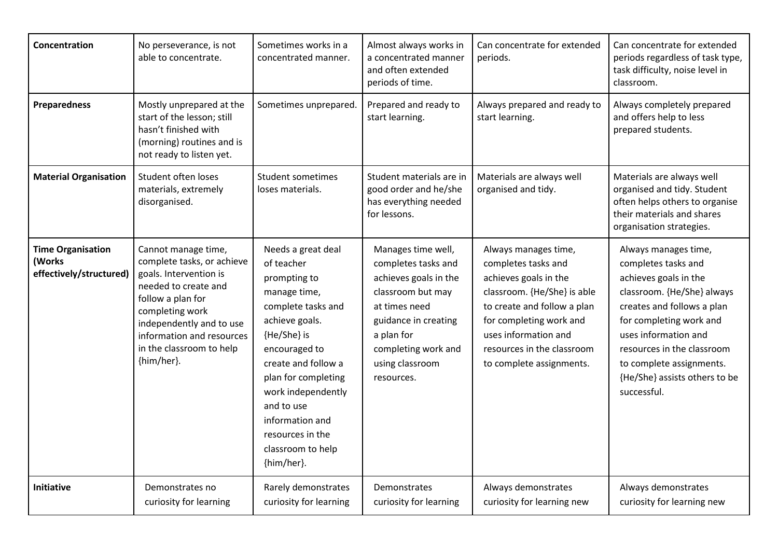| Concentration                                                 | No perseverance, is not<br>able to concentrate.                                                                                                                                                                                                | Sometimes works in a<br>concentrated manner.                                                                                                                                                                                                                                                         | Almost always works in<br>a concentrated manner<br>and often extended<br>periods of time.                                                                                                              | Can concentrate for extended<br>periods.                                                                                                                                                                                                        | Can concentrate for extended<br>periods regardless of task type,<br>task difficulty, noise level in<br>classroom.                                                                                                                                                                             |
|---------------------------------------------------------------|------------------------------------------------------------------------------------------------------------------------------------------------------------------------------------------------------------------------------------------------|------------------------------------------------------------------------------------------------------------------------------------------------------------------------------------------------------------------------------------------------------------------------------------------------------|--------------------------------------------------------------------------------------------------------------------------------------------------------------------------------------------------------|-------------------------------------------------------------------------------------------------------------------------------------------------------------------------------------------------------------------------------------------------|-----------------------------------------------------------------------------------------------------------------------------------------------------------------------------------------------------------------------------------------------------------------------------------------------|
| <b>Preparedness</b>                                           | Mostly unprepared at the<br>start of the lesson; still<br>hasn't finished with<br>(morning) routines and is<br>not ready to listen yet.                                                                                                        | Sometimes unprepared.                                                                                                                                                                                                                                                                                | Prepared and ready to<br>start learning.                                                                                                                                                               | Always prepared and ready to<br>start learning.                                                                                                                                                                                                 | Always completely prepared<br>and offers help to less<br>prepared students.                                                                                                                                                                                                                   |
| <b>Material Organisation</b>                                  | Student often loses<br>materials, extremely<br>disorganised.                                                                                                                                                                                   | <b>Student sometimes</b><br>loses materials.                                                                                                                                                                                                                                                         | Student materials are in<br>good order and he/she<br>has everything needed<br>for lessons.                                                                                                             | Materials are always well<br>organised and tidy.                                                                                                                                                                                                | Materials are always well<br>organised and tidy. Student<br>often helps others to organise<br>their materials and shares<br>organisation strategies.                                                                                                                                          |
| <b>Time Organisation</b><br>(Works<br>effectively/structured) | Cannot manage time,<br>complete tasks, or achieve<br>goals. Intervention is<br>needed to create and<br>follow a plan for<br>completing work<br>independently and to use<br>information and resources<br>in the classroom to help<br>{him/her}. | Needs a great deal<br>of teacher<br>prompting to<br>manage time,<br>complete tasks and<br>achieve goals.<br>{He/She} is<br>encouraged to<br>create and follow a<br>plan for completing<br>work independently<br>and to use<br>information and<br>resources in the<br>classroom to help<br>{him/her}. | Manages time well,<br>completes tasks and<br>achieves goals in the<br>classroom but may<br>at times need<br>guidance in creating<br>a plan for<br>completing work and<br>using classroom<br>resources. | Always manages time,<br>completes tasks and<br>achieves goals in the<br>classroom. {He/She} is able<br>to create and follow a plan<br>for completing work and<br>uses information and<br>resources in the classroom<br>to complete assignments. | Always manages time,<br>completes tasks and<br>achieves goals in the<br>classroom. {He/She} always<br>creates and follows a plan<br>for completing work and<br>uses information and<br>resources in the classroom<br>to complete assignments.<br>{He/She} assists others to be<br>successful. |
| <b>Initiative</b>                                             | Demonstrates no<br>curiosity for learning                                                                                                                                                                                                      | Rarely demonstrates<br>curiosity for learning                                                                                                                                                                                                                                                        | Demonstrates<br>curiosity for learning                                                                                                                                                                 | Always demonstrates<br>curiosity for learning new                                                                                                                                                                                               | Always demonstrates<br>curiosity for learning new                                                                                                                                                                                                                                             |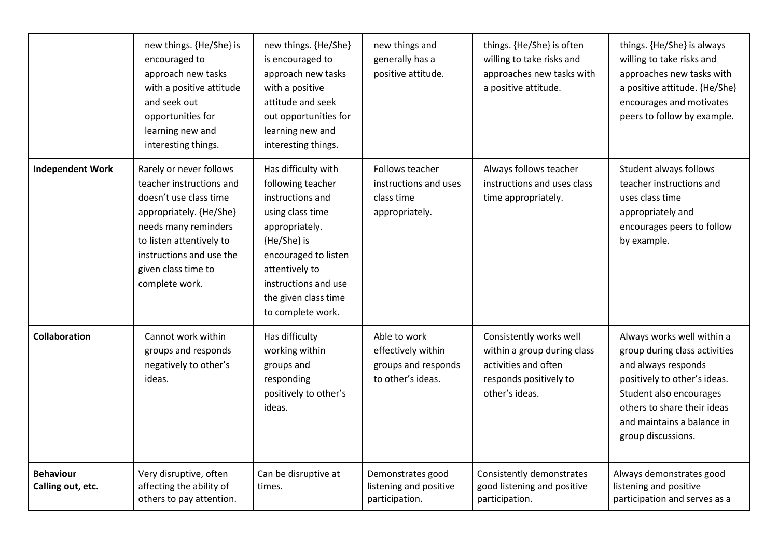|                                       | new things. {He/She} is<br>encouraged to<br>approach new tasks<br>with a positive attitude<br>and seek out<br>opportunities for<br>learning new and<br>interesting things.                                                        | new things. {He/She}<br>is encouraged to<br>approach new tasks<br>with a positive<br>attitude and seek<br>out opportunities for<br>learning new and<br>interesting things.                                                       | new things and<br>generally has a<br>positive attitude.                        | things. {He/She} is often<br>willing to take risks and<br>approaches new tasks with<br>a positive attitude.                | things. {He/She} is always<br>willing to take risks and<br>approaches new tasks with<br>a positive attitude. {He/She}<br>encourages and motivates<br>peers to follow by example.                                                 |
|---------------------------------------|-----------------------------------------------------------------------------------------------------------------------------------------------------------------------------------------------------------------------------------|----------------------------------------------------------------------------------------------------------------------------------------------------------------------------------------------------------------------------------|--------------------------------------------------------------------------------|----------------------------------------------------------------------------------------------------------------------------|----------------------------------------------------------------------------------------------------------------------------------------------------------------------------------------------------------------------------------|
| <b>Independent Work</b>               | Rarely or never follows<br>teacher instructions and<br>doesn't use class time<br>appropriately. {He/She}<br>needs many reminders<br>to listen attentively to<br>instructions and use the<br>given class time to<br>complete work. | Has difficulty with<br>following teacher<br>instructions and<br>using class time<br>appropriately.<br>{He/She} is<br>encouraged to listen<br>attentively to<br>instructions and use<br>the given class time<br>to complete work. | Follows teacher<br>instructions and uses<br>class time<br>appropriately.       | Always follows teacher<br>instructions and uses class<br>time appropriately.                                               | Student always follows<br>teacher instructions and<br>uses class time<br>appropriately and<br>encourages peers to follow<br>by example.                                                                                          |
| <b>Collaboration</b>                  | Cannot work within<br>groups and responds<br>negatively to other's<br>ideas.                                                                                                                                                      | Has difficulty<br>working within<br>groups and<br>responding<br>positively to other's<br>ideas.                                                                                                                                  | Able to work<br>effectively within<br>groups and responds<br>to other's ideas. | Consistently works well<br>within a group during class<br>activities and often<br>responds positively to<br>other's ideas. | Always works well within a<br>group during class activities<br>and always responds<br>positively to other's ideas.<br>Student also encourages<br>others to share their ideas<br>and maintains a balance in<br>group discussions. |
| <b>Behaviour</b><br>Calling out, etc. | Very disruptive, often<br>affecting the ability of<br>others to pay attention.                                                                                                                                                    | Can be disruptive at<br>times.                                                                                                                                                                                                   | Demonstrates good<br>listening and positive<br>participation.                  | Consistently demonstrates<br>good listening and positive<br>participation.                                                 | Always demonstrates good<br>listening and positive<br>participation and serves as a                                                                                                                                              |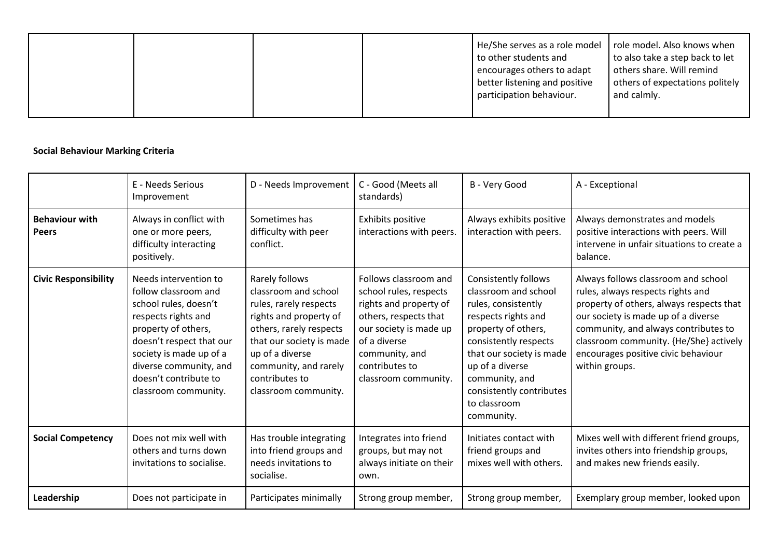| better listening and positive<br>participation behaviour.<br>and calmly. |  |  | He/She serves as a role model $\mid$ role model. Also knows when<br>to other students and<br>encourages others to adapt | to also take a step back to let<br>others share. Will remind<br>others of expectations politely |
|--------------------------------------------------------------------------|--|--|-------------------------------------------------------------------------------------------------------------------------|-------------------------------------------------------------------------------------------------|
|--------------------------------------------------------------------------|--|--|-------------------------------------------------------------------------------------------------------------------------|-------------------------------------------------------------------------------------------------|

## **Social Behaviour Marking Criteria**

|                                       | E - Needs Serious<br>Improvement                                                                                                                                                                                                                       | D - Needs Improvement                                                                                                                                                                                                                   | C - Good (Meets all<br>standards)                                                                                                                                                                        | B - Very Good                                                                                                                                                                                                                                                                | A - Exceptional                                                                                                                                                                                                                                                                                        |
|---------------------------------------|--------------------------------------------------------------------------------------------------------------------------------------------------------------------------------------------------------------------------------------------------------|-----------------------------------------------------------------------------------------------------------------------------------------------------------------------------------------------------------------------------------------|----------------------------------------------------------------------------------------------------------------------------------------------------------------------------------------------------------|------------------------------------------------------------------------------------------------------------------------------------------------------------------------------------------------------------------------------------------------------------------------------|--------------------------------------------------------------------------------------------------------------------------------------------------------------------------------------------------------------------------------------------------------------------------------------------------------|
| <b>Behaviour with</b><br><b>Peers</b> | Always in conflict with<br>one or more peers,<br>difficulty interacting<br>positively.                                                                                                                                                                 | Sometimes has<br>difficulty with peer<br>conflict.                                                                                                                                                                                      | Exhibits positive<br>interactions with peers.                                                                                                                                                            | Always exhibits positive<br>interaction with peers.                                                                                                                                                                                                                          | Always demonstrates and models<br>positive interactions with peers. Will<br>intervene in unfair situations to create a<br>balance.                                                                                                                                                                     |
| <b>Civic Responsibility</b>           | Needs intervention to<br>follow classroom and<br>school rules, doesn't<br>respects rights and<br>property of others,<br>doesn't respect that our<br>society is made up of a<br>diverse community, and<br>doesn't contribute to<br>classroom community. | Rarely follows<br>classroom and school<br>rules, rarely respects<br>rights and property of<br>others, rarely respects<br>that our society is made<br>up of a diverse<br>community, and rarely<br>contributes to<br>classroom community. | Follows classroom and<br>school rules, respects<br>rights and property of<br>others, respects that<br>our society is made up<br>of a diverse<br>community, and<br>contributes to<br>classroom community. | <b>Consistently follows</b><br>classroom and school<br>rules, consistently<br>respects rights and<br>property of others,<br>consistently respects<br>that our society is made<br>up of a diverse<br>community, and<br>consistently contributes<br>to classroom<br>community. | Always follows classroom and school<br>rules, always respects rights and<br>property of others, always respects that<br>our society is made up of a diverse<br>community, and always contributes to<br>classroom community. {He/She} actively<br>encourages positive civic behaviour<br>within groups. |
| <b>Social Competency</b>              | Does not mix well with<br>others and turns down<br>invitations to socialise.                                                                                                                                                                           | Has trouble integrating<br>into friend groups and<br>needs invitations to<br>socialise.                                                                                                                                                 | Integrates into friend<br>groups, but may not<br>always initiate on their<br>own.                                                                                                                        | Initiates contact with<br>friend groups and<br>mixes well with others.                                                                                                                                                                                                       | Mixes well with different friend groups,<br>invites others into friendship groups,<br>and makes new friends easily.                                                                                                                                                                                    |
| Leadership                            | Does not participate in                                                                                                                                                                                                                                | Participates minimally                                                                                                                                                                                                                  | Strong group member,                                                                                                                                                                                     | Strong group member,                                                                                                                                                                                                                                                         | Exemplary group member, looked upon                                                                                                                                                                                                                                                                    |